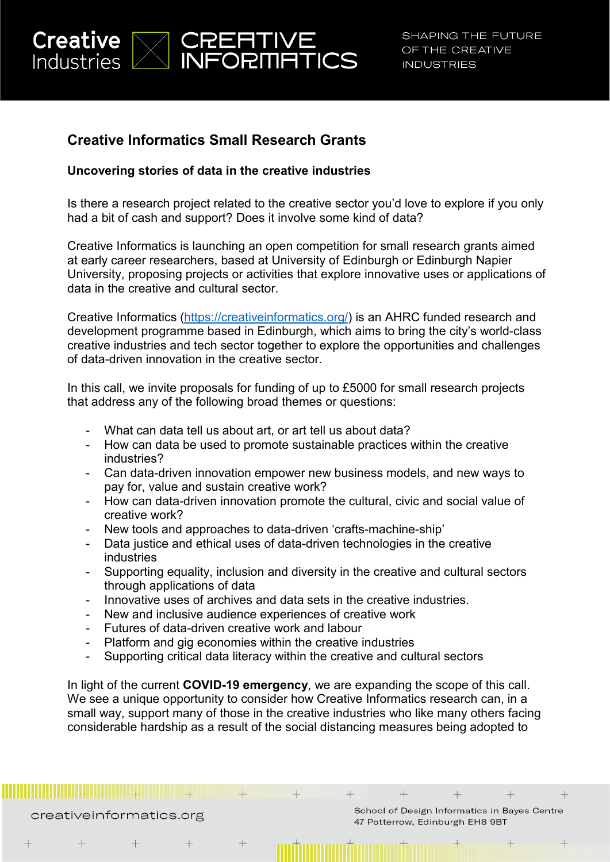

# **Creative Informatics Small Research Grants**

# **Uncovering stories of data in the creative industries**

Is there a research project related to the creative sector you'd love to explore if you only had a bit of cash and support? Does it involve some kind of data?

Creative Informatics is launching an open competition for small research grants aimed at early career researchers, based at University of Edinburgh or Edinburgh Napier University, proposing projects or activities that explore innovative uses or applications of data in the creative and cultural sector.

Creative Informatics [\(https://creativeinformatics.org/\)](https://creativeinformatics.org/) is an AHRC funded research and development programme based in Edinburgh, which aims to bring the city's world-class creative industries and tech sector together to explore the opportunities and challenges of data-driven innovation in the creative sector.

In this call, we invite proposals for funding of up to £5000 for small research projects that address any of the following broad themes or questions:

- What can data tell us about art, or art tell us about data?
- How can data be used to promote sustainable practices within the creative industries?
- Can data-driven innovation empower new business models, and new ways to pay for, value and sustain creative work?
- How can data-driven innovation promote the cultural, civic and social value of creative work?
- New tools and approaches to data-driven 'crafts-machine-ship'
- Data justice and ethical uses of data-driven technologies in the creative industries
- Supporting equality, inclusion and diversity in the creative and cultural sectors through applications of data
- Innovative uses of archives and data sets in the creative industries.
- New and inclusive audience experiences of creative work
- Futures of data-driven creative work and labour
- Platform and gig economies within the creative industries

 $+$ 

- Supporting critical data literacy within the creative and cultural sectors

In light of the current **COVID-19 emergency**, we are expanding the scope of this call. We see a unique opportunity to consider how Creative Informatics research can, in a small way, support many of those in the creative industries who like many others facing considerable hardship as a result of the social distancing measures being adopted to

creativeinformatics.org

School of Design Informatics in Bayes Centre 47 Potterrow, Edinburgh EH8 9BT

 $\overline{+}$ 

 $\perp$ 

 $\ddot{+}$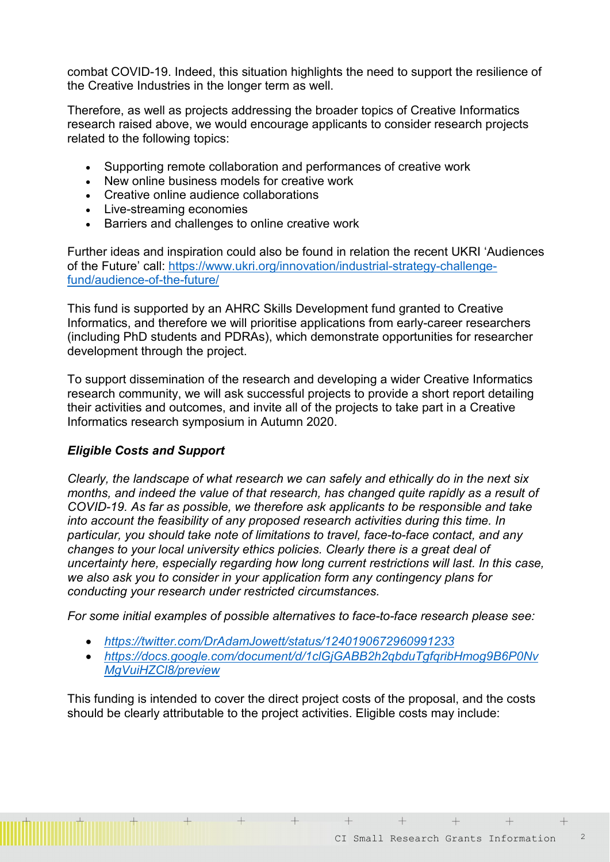combat COVID-19. Indeed, this situation highlights the need to support the resilience of the Creative Industries in the longer term as well.

Therefore, as well as projects addressing the broader topics of Creative Informatics research raised above, we would encourage applicants to consider research projects related to the following topics:

- Supporting remote collaboration and performances of creative work
- New online business models for creative work
- Creative online audience collaborations
- Live-streaming economies
- Barriers and challenges to online creative work

Further ideas and inspiration could also be found in relation the recent UKRI 'Audiences of the Future' call: [https://www.ukri.org/innovation/industrial-strategy-challenge](https://www.ukri.org/innovation/industrial-strategy-challenge-fund/audience-of-the-future/)[fund/audience-of-the-future/](https://www.ukri.org/innovation/industrial-strategy-challenge-fund/audience-of-the-future/)

This fund is supported by an AHRC Skills Development fund granted to Creative Informatics, and therefore we will prioritise applications from early-career researchers (including PhD students and PDRAs), which demonstrate opportunities for researcher development through the project.

To support dissemination of the research and developing a wider Creative Informatics research community, we will ask successful projects to provide a short report detailing their activities and outcomes, and invite all of the projects to take part in a Creative Informatics research symposium in Autumn 2020.

### *Eligible Costs and Support*

*Clearly, the landscape of what research we can safely and ethically do in the next six months, and indeed the value of that research, has changed quite rapidly as a result of COVID-19. As far as possible, we therefore ask applicants to be responsible and take into account the feasibility of any proposed research activities during this time. In particular, you should take note of limitations to travel, face-to-face contact, and any changes to your local university ethics policies. Clearly there is a great deal of uncertainty here, especially regarding how long current restrictions will last. In this case, we also ask you to consider in your application form any contingency plans for conducting your research under restricted circumstances.* 

*For some initial examples of possible alternatives to face-to-face research please see:*

• *<https://twitter.com/DrAdamJowett/status/1240190672960991233>*

 $+$ 

• *[https://docs.google.com/document/d/1clGjGABB2h2qbduTgfqribHmog9B6P0Nv](https://docs.google.com/document/d/1clGjGABB2h2qbduTgfqribHmog9B6P0NvMgVuiHZCl8/preview) [MgVuiHZCl8/preview](https://docs.google.com/document/d/1clGjGABB2h2qbduTgfqribHmog9B6P0NvMgVuiHZCl8/preview)*

This funding is intended to cover the direct project costs of the proposal, and the costs should be clearly attributable to the project activities. Eligible costs may include:

 $+$ 

 $+$   $-$ 

 $+$   $+$   $-$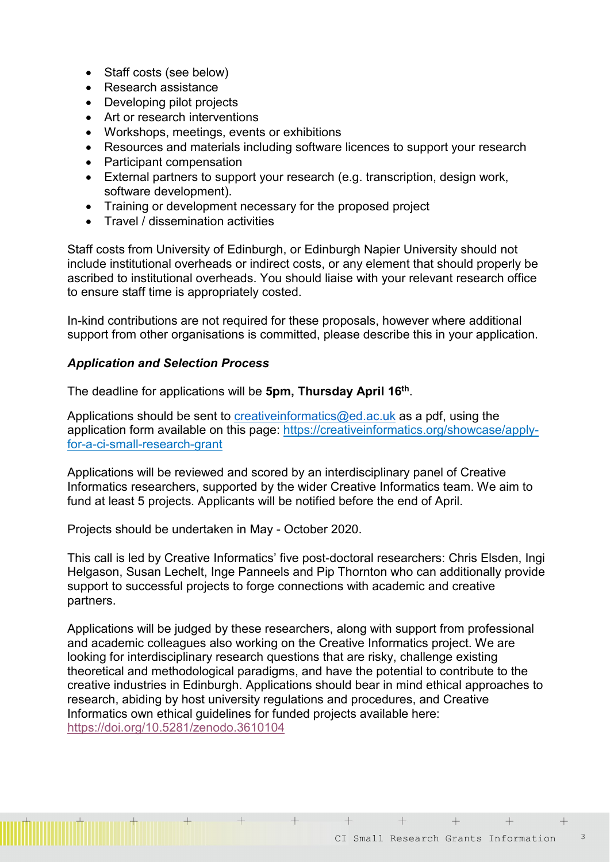- Staff costs (see below)
- Research assistance
- Developing pilot projects
- Art or research interventions
- Workshops, meetings, events or exhibitions
- Resources and materials including software licences to support your research
- Participant compensation
- External partners to support your research (e.g. transcription, design work, software development).
- Training or development necessary for the proposed project
- Travel / dissemination activities

Staff costs from University of Edinburgh, or Edinburgh Napier University should not include institutional overheads or indirect costs, or any element that should properly be ascribed to institutional overheads. You should liaise with your relevant research office to ensure staff time is appropriately costed.

In-kind contributions are not required for these proposals, however where additional support from other organisations is committed, please describe this in your application.

### *Application and Selection Process*

The deadline for applications will be **5pm, Thursday April 16th**.

Applications should be sent to creative informatics@ed.ac.uk as a pdf, using the application form available on this page: [https://creativeinformatics.org/showcase/a](https://creativeinformatics.org/showcase/)pplyfor-a-ci-small-research-grant

Applications will be reviewed and scored by an interdisciplinary panel of Creative Informatics researchers, supported by the wider Creative Informatics team. We aim to fund at least 5 projects. Applicants will be notified before the end of April.

Projects should be undertaken in May - October 2020.

 $+$ 

This call is led by Creative Informatics' five post-doctoral researchers: Chris Elsden, Ingi Helgason, Susan Lechelt, Inge Panneels and Pip Thornton who can additionally provide support to successful projects to forge connections with academic and creative partners.

Applications will be judged by these researchers, along with support from professional and academic colleagues also working on the Creative Informatics project. We are looking for interdisciplinary research questions that are risky, challenge existing theoretical and methodological paradigms, and have the potential to contribute to the creative industries in Edinburgh. Applications should bear in mind ethical approaches to research, abiding by host university regulations and procedures, and Creative Informatics own ethical guidelines for funded projects available here: <https://doi.org/10.5281/zenodo.3610104>

 $+$ 

 $+$   $-$ 

 $+$   $-$ 

 $+$ 

 $+$   $-$